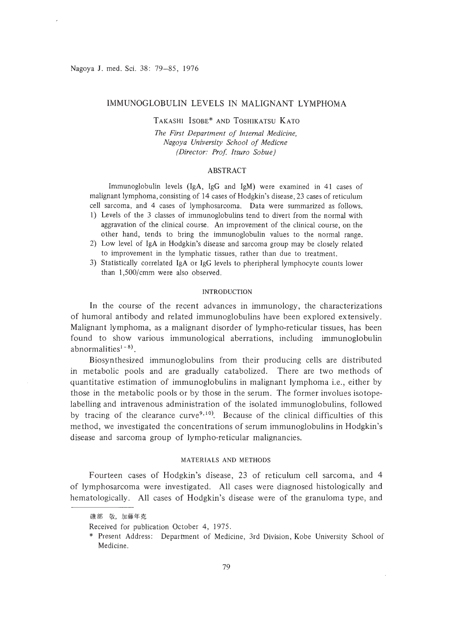## IMMUNOGLOBULIN LEVELS IN MALIGNANT LYMPHOMA

# TAKASHI ISOBE\* AND TOSHIKATSU KATO

The *First Department of Internal Medicine, Nagoya University School 0/ Medicne (Director: Prof ltsuro Sobue)*

### ABSTRACT

Immunoglobulin levels (lgA, IgG and IgM) were examined in 41 cases of malignant lymphoma, consisting of 14 cases of Hodgkin's disease, 23 cases of reticulum cell sarcoma, and 4 cases of lymphosarcoma. Data were summarized as follows. I) Levels of the 3 classes of immunoglobulins tend to divert from the normal with

- aggravation of the clinical course. An improvement of the clinical course, on the other hand, tends to bring the immunoglobulin values to the normal range.
- 2) Low level of IgA in Hodgkin's disease and sarcoma group may be closely related to improvement in the lymphatic tissues, rather than due to treatment.
- 3) Statistically correlated IgA or IgG levels to pheripherallymphocyte counts lower than 1,500/cmm were also observed.

## INTRODUCTION

In the course of the recent advances in immunology, the characterizations of humoral antibody and related immunoglobulins have been explored extensively. Malignant lymphoma, as a malignant disorder of lympho-reticular tissues, has been found to show various immunological aberrations, induding immunoglobulin abnormalities<sup> $1 - 8$ </sup>).

Biosynthesized immunoglobulins from their producing cells are distributed in metabolic pools and are gradually catabolized. There are two methods of quantitative estimation of immunoglobulins in malignant lymphoma i.e., either by those in the metabolic pools or by those in the serum. The former involues isotopelabelling and intravenous administration of the isolated immunoglobulins, followed by tracing of the clearance curve<sup>9,10</sup>). Because of the clinical difficulties of this method, we investigated the concentrations of serum immunoglobulins in Hodgkin's disease and sarcoma group of lympho-reticular malignancies.

## MATERIALS AND METHODS

Fourteen cases of Hodgkin's disease, 23 of reticulum cell sarcoma, and 4 of lymphosarcoma were investigated. All cases were diagnosed histologically and hematologically. All cases of Hodgkin's disease were of the granuloma type, and

磯部 敬, 加藤年克

Received for publication October 4, 1975.

<sup>\*</sup> Present Address: Department of Medicine, 3rd Division, Kobe University School of Medicine.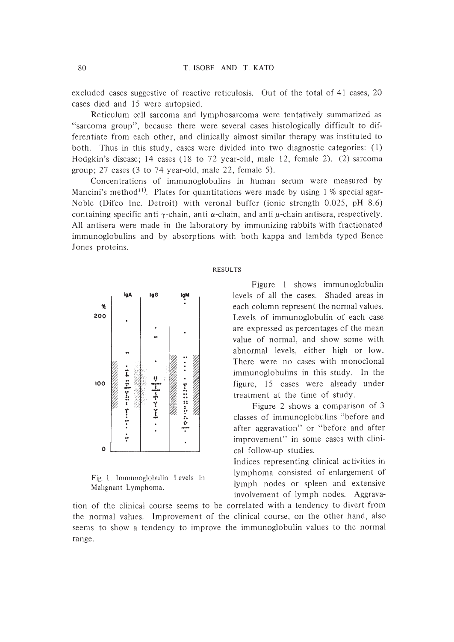excluded cases suggestive of reactive reticulosis. Out of the total of 41 cases, 20 cases died and 15 were autopsied.

Reticulum cell sarcoma and lymphosarcoma were tentatively summarized as "sarcoma group", because there were several cases histologically difficult to differentiate from each other, and clinically almost similar therapy was instituted to both. Thus in this study, cases were divided into two diagnostic categories: (I) Hodgkin's disease; 14 cases (18 to 72 year-old, male 12, female 2). (2) sarcoma group; 27 cases (3 to 74 year-old, male 22, female 5).

Concentrations of immunoglobulins in human serum were measured by Mancini's method<sup>11</sup>. Plates for quantitations were made by using 1 % special agar-Noble (Difco Inc. Detroit) with veronal buffer (ionic strength 0.025, pH 8.6) containing specific anti  $\gamma$ -chain, anti  $\alpha$ -chain, and anti  $\mu$ -chain antisera, respectively. All antisera were made in the laboratory by immunizing rabbits with fractionated immunoglobulins and by absorptions with both kappa and lambda typed Bence Jones proteins.



Fig. 1. Immunoglobulin Levels in Malignant Lymphoma.

#### RESULTS

Figure I shows immunoglobulin levels of all the cases. Shaded areas in each column represent the normal values. Levels of immunoglobulin of each case are expressed as percen tages of the mean value of normal, and show some with abnormal levels, either high or low. There were no cases with monoclonal immunoglobulins in this study. In the figure, 15 cases were already under treatment at the time of study.

Figure 2 shows a comparison of 3 classes of immunoglobulins "before and after aggravation" or "before and after improvement" in some cases with clinical follow-up studies.

Indices representing clinical activities in lymphoma consisted of enlargement of lymph nodes or spleen and extensive involvement of lymph nodes. Aggrava-

tion of the clinical course seems to be correlated with a tendency to divert from the normal values. Improvement of the clinical course, on the other hand, also seems to show a tendency to improve the immunoglobulin values to the normal range.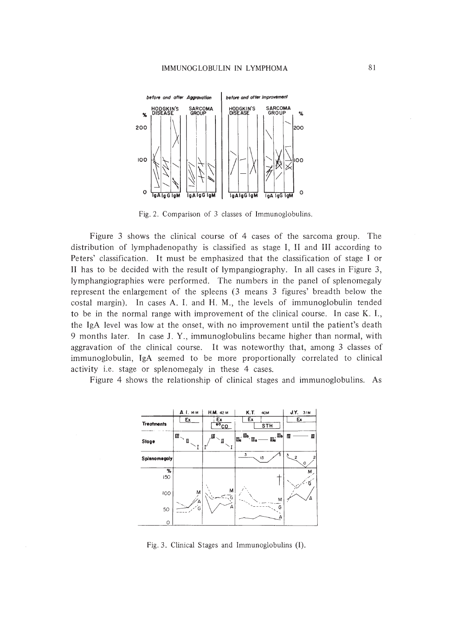

Fig. 2. Comparison of 3 classes of Immunoglobulins.

Figure 3 shows the clinical course of 4 cases of the sarcoma group. The distribution of lymphadenopathy is classified as stage I, II and III according to Peters' classification. It must be emphasized that the classification of stage I or II has to be decided with the result of lympangiography. In all cases in Figure 3, lymphangiographies were performed. The numbers in the panel of splenomegaly represent the enlargement of the spleens (3 means 3 figures' breadth below the costal margin). In cases A. I. and H. M., the levels of immunoglobulin tended to be in the normal range with improvement of the clinical course. In case K. I., the IgA level was low at the onset, with no improvement until the patient's death 9 months later. In case J. Y., immunoglobulins became higher than normal, with aggravation of the clinical course. It was noteworthy that, among 3 classes of immunoglobulin, IgA seemed to be more proportionally correlated to clinical activity i.e. stage or splenomegaly in these 4 cases.

Figure 4 shows the relationship of clinical stages and immunoglobulins. As



Fig. 3. Clinical Stages and Immunoglobulins (I).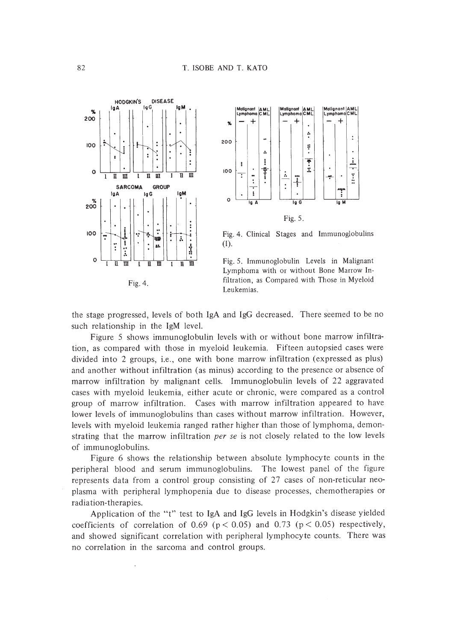



Fig. 4. Clinical Stages and Immunoglobulins  $(I).$ 



the stage progressed, levels of both IgA and IgG decreased. There seemed to be no such relationship in the IgM level.

Figure 5 shows immunoglobulin levels with or without bone marrow infiltration, as compared with those in myeloid leukemia. Fifteen autopsied cases were divided into 2 groups, i.e., one with bone marrow infiltration (expressed as plus) and another without infiltration (as minus) according to the presence or absence of marrow infiltration by malignant cells. Immunoglobulin levels of 22 aggravated cases with myeloid leukemia, either acute or chronic, were compared as a control group of marrow infiltration. Cases with marrow infiltration appeared to have lower levels of immunoglobulins than cases without marrow infiltration. However, levels with myeloid leukemia ranged rather higher than those of lymphoma, demonstrating that the marrow infiltration per se is not closely related to the low levels of immunoglobulins.

Figure 6 shows the relationship between absolute lymphocyte counts in the peripheral blood and serum immunoglobulins. The lowest panel of the figure represents data from a control group consisting of 27 cases of non-reticular neoplasma with peripheral lymphopenia due to disease processes, chemotherapies or radiation-therapies.

Application of the "t" test to IgA and IgG levels in Hodgkin's disease yielded coefficients of correlation of 0.69 ( $p < 0.05$ ) and 0.73 ( $p < 0.05$ ) respectively, and showed significant correlation with peripheral lymphocyte counts. There was no correlation in the sarcoma and control groups.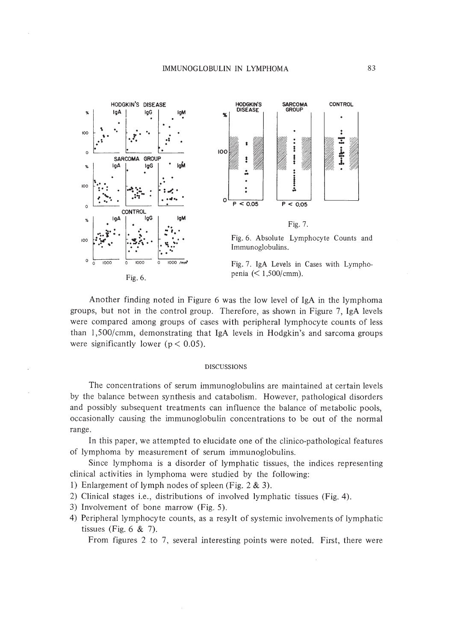

Another finding noted in Figure 6 was the low level of IgA in the lymphoma groups, but not in the control group. Therefore, as shown in Figure 7, IgA levels were compared among groups of cases with peripheral lymphocyte counts of less than 1,500/cmm, demonstrating that IgA levels in Hodgkin's and sarcoma groups were significantly lower ( $p < 0.05$ ).

## **DISCUSSIONS**

The concentrations of serum immunoglobulins are maintained at certain levels by the balance between synthesis and catabolism. However, pathological disorders and possibly subsequent treatments can influence the balance of metabolic pools, occasionally causing the immunoglobulin concentrations to be out of the normal range.

In this paper, we attempted to elucidate one of the clinico-pathological features of lymphoma by measurement of serum immunoglobulins.

Since lymphoma is a disorder of lymphatic tissues, the indices representing clinical activities in lymphoma were studied by the following:

- 1) Enlargement of lymph nodes of spleen (Fig.  $2 \& 3$ ).
- 2) Clinical stages i.e., distributions of involved lymphatic tissues (Fig. 4).
- 3) Involvement of bone marrow (Fig. 5).
- 4) Peripheral lymphocyte counts, as a resylt of systemic involvements of lymphatic tissues (Fig.  $6 \& 7$ ).

From figures 2 to 7, several interesting points were noted. First, there were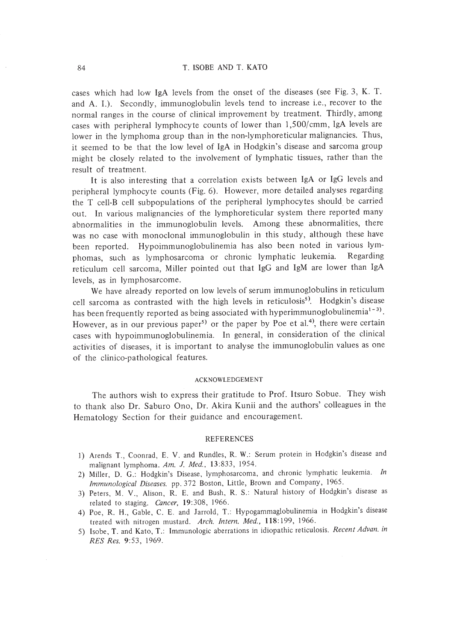cases which had low IgA levels from the onset of the diseases (see Fig. 3, K. T. and A. I.). Secondly, immunoglobulin levels tend to increase i.e., recover to the normal ranges in the course of clinical improvement by treatment. Thirdly, among cases with peripheral lymphocyte counts of lower than 1,500/cmm, IgA levels are lower in the lymphoma group than in the non-lymphoreticular malignancies. Thus, it seemed to be that the low level of IgA in Hodgkin's disease and sarcoma group might be closely related to the involvement of lymphatic tissues, rather than the result of treatment.

It is also interesting that a correlation exists between IgA or IgG levels and peripheral lymphocyte counts (Fig. 6). However, more detailed analyses regarding the T cell-B cell subpopulations of the peripheral lymphocytes should be carried out. In various malignancies of the lymphoreticular system there reported many abnormalities in the immunoglobulin levels. Among these abnormalities, there was no case with monoclonal immunoglobulin in this study, although these have been reported. Hypoimmunoglobulinemia has also been noted in various lymphomas, such as lymphosarcoma or chronic lymphatic leukemia. Regarding reticulum cell sarcoma, Miller pointed out that IgG and IgM are lower than IgA levels, as in lymphosarcome.

We have already reported on low levels of serum immunoglobulins in reticulum cell sarcoma as contrasted with the high levels in reticulosis<sup>5)</sup>. Hodgkin's disease has been frequently reported as being associated with hyperimmunoglobulinemia<sup>1-3)</sup>. However, as in our previous paper<sup>5)</sup> or the paper by Poe et al.<sup>4</sup>, there were certain cases with hypoimmunoglobulinemia. In general, in consideration of the clinical activities of diseases, it is important to analyse the immunoglobulin values as one of the clinico-pathological features.

#### ACKNOWLEDGEMENT

The authors wish to express their gratitude to Prof. Itsuro Sobue. They wish to thank also Dr. Saburo Ono, Dr. Akira Kunii and the authors' colleagues in the Hematology Section for their guidance and encouragement.

#### REFERENCES

- I) Arends T., Coonrad, E. V. and Rundles, R. W.: Serum protein in Hodgkin's disease and malignant lymphoma. *Am.* J. *Med..* 13:833, 1954.
- 2) Miller, D. G.: Hodgkin's Disease, lymphosarcoma. and chronic lymphatic leukemia. *In Immunological Diseases.* pp.372 Boston, Little, Brown and Company, 1965.
- 3) Peters, M. V., Alison, R. E. and Bush, R. S.: Natural history of Hodgkin's disease as related to staging. *Cancer,* 19:308, 1966.
- 4) Poe, R. H., Gable, C. E. and Jarrold, T.: Hypogammaglobulinemia in Hodgkin's disease treated with nitrogen mustard. *Arch. Intern. Med.,* 118:199, 1966.
- 5) Isobe, T. and Kato, *T.:* Immunologic aberrations in idiopathic reticulosis. *Recent Advan. in RES Res.* 9:53, 1969.